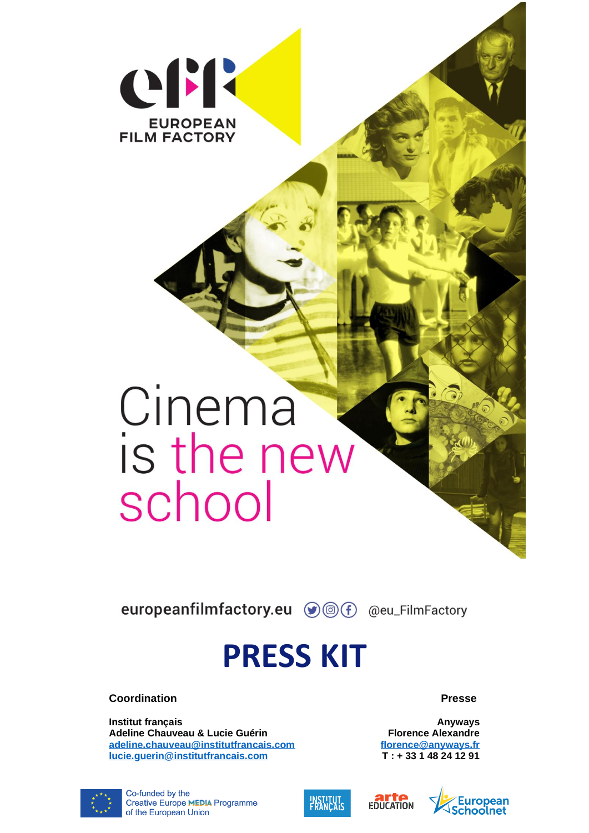

# Cinema<br>is the new school

europeanfilmfactory.eu (DOF) @eu\_FilmFactory

## **PRESS KIT**

**Coordination**

**Institut français Adeline Chauveau & Lucie Guérin [adeline.chauveau@institutfrancais.com](mailto:adeline.chauveau@institutfrancais.com) [lucie.guerin@institutfrancais.com](mailto:lucie.guerin@institutfrancais.com)**

**Presse**

**Anyways Florence Alexandre [florence@anyways.fr](mailto:florence@anyways.fr) T : + 33 1 48 24 12 91**







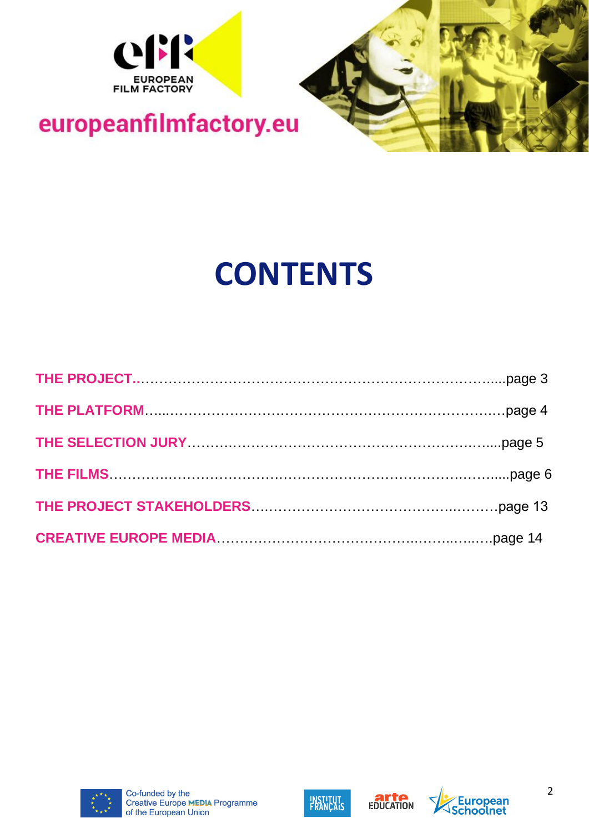



## **CONTENTS**

| THE PROJECT STAKEHOLDERS <b>Manual Community Contract Contract STAKEHOLDERS</b> |  |
|---------------------------------------------------------------------------------|--|
|                                                                                 |  |







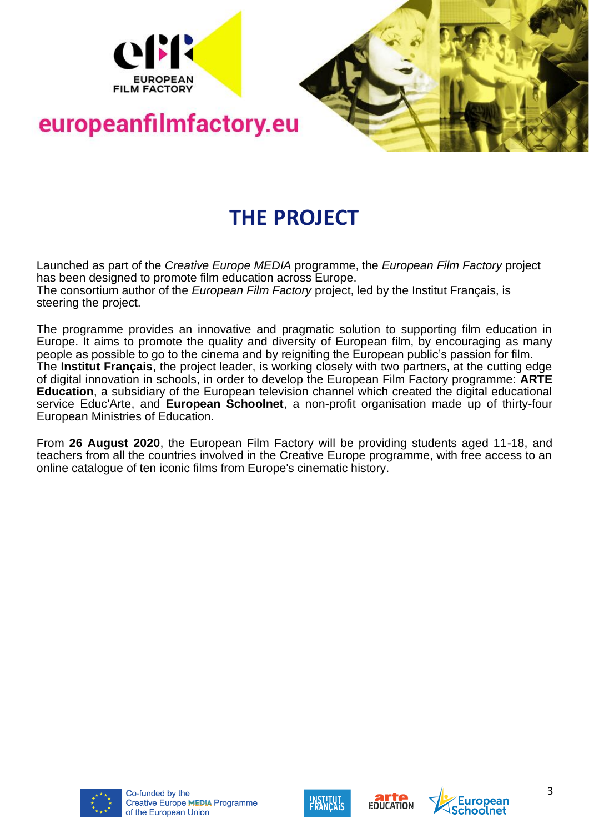



#### **THE PROJECT**

Launched as part of the *Creative Europe MEDIA* programme, the *European Film Factory* project has been designed to promote film education across Europe. The consortium author of the *European Film Factory* project, led by the Institut Français, is steering the project.

The programme provides an innovative and pragmatic solution to supporting film education in Europe. It aims to promote the quality and diversity of European film, by encouraging as many people as possible to go to the cinema and by reigniting the European public's passion for film. The **Institut Français**, the project leader, is working closely with two partners, at the cutting edge of digital innovation in schools, in order to develop the European Film Factory programme: **ARTE Education**, a subsidiary of the European television channel which created the digital educational service Educ'Arte, and **European Schoolnet**, a non-profit organisation made up of thirty-four European Ministries of Education.

From **26 August 2020**, the European Film Factory will be providing students aged 11-18, and teachers from all the countries involved in the Creative Europe programme, with free access to an online catalogue of ten iconic films from Europe's cinematic history.









3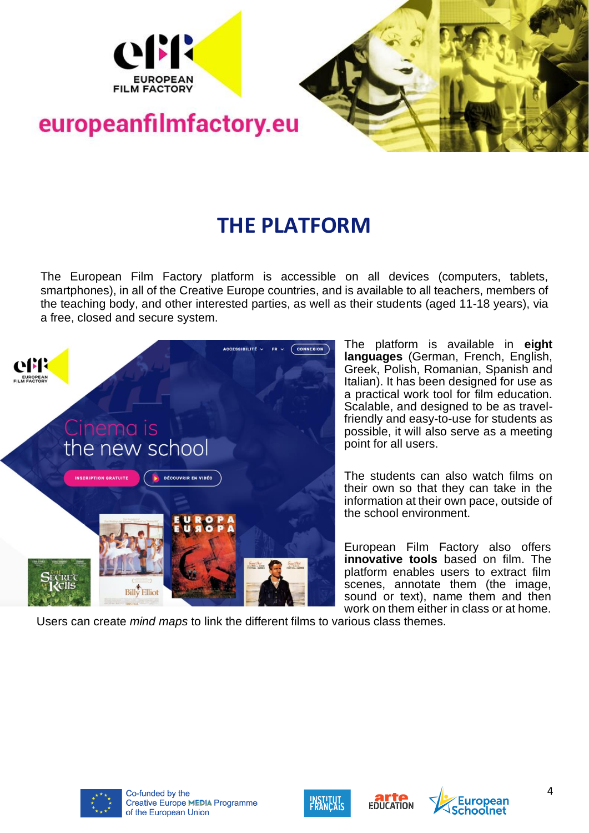



#### **THE PLATFORM**

The European Film Factory platform is accessible on all devices (computers, tablets, smartphones), in all of the Creative Europe countries, and is available to all teachers, members of the teaching body, and other interested parties, as well as their students (aged 11-18 years), via a free, closed and secure system.



The platform is available in **eight languages** (German, French, English, Greek, Polish, Romanian, Spanish and Italian). It has been designed for use as a practical work tool for film education. Scalable, and designed to be as travelfriendly and easy-to-use for students as possible, it will also serve as a meeting point for all users.

The students can also watch films on their own so that they can take in the information at their own pace, outside of the school environment.

European Film Factory also offers **innovative tools** based on film. The platform enables users to extract film scenes, annotate them (the image, sound or text), name them and then work on them either in class or at home.

Users can create *mind maps* to link the different films to various class themes.







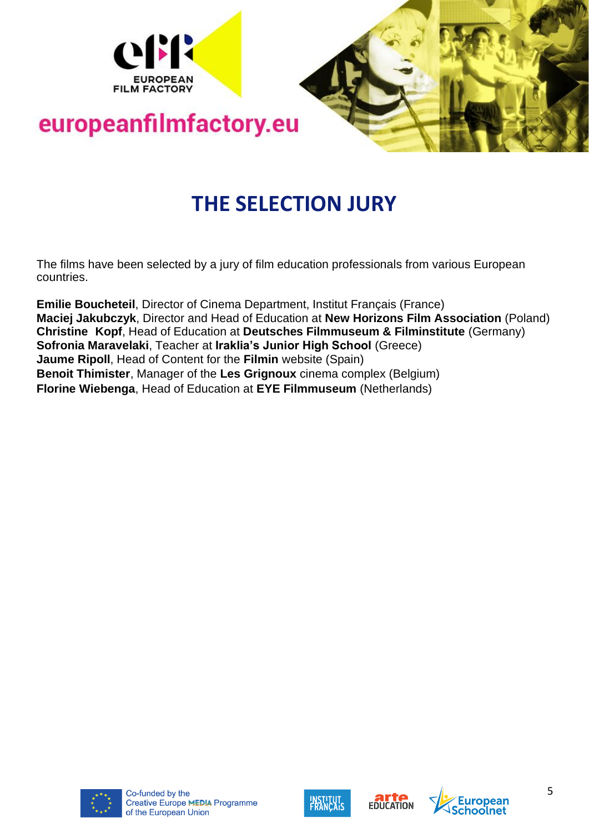



#### **THE SELECTION JURY**

The films have been selected by a jury of film education professionals from various European countries.

**Emilie Boucheteil**, Director of Cinema Department, Institut Français (France) **Maciej Jakubczyk**, Director and Head of Education at **New Horizons Film Association** (Poland) **Christine Kopf**, Head of Education at **Deutsches Filmmuseum & Filminstitute** (Germany) **Sofronia Maravelaki**, Teacher at **Iraklia's Junior High School** (Greece) **Jaume Ripoll**, Head of Content for the **Filmin** website (Spain) **Benoit Thimister**, Manager of the **Les Grignoux** cinema complex (Belgium) **Florine Wiebenga**, Head of Education at **EYE Filmmuseum** (Netherlands)







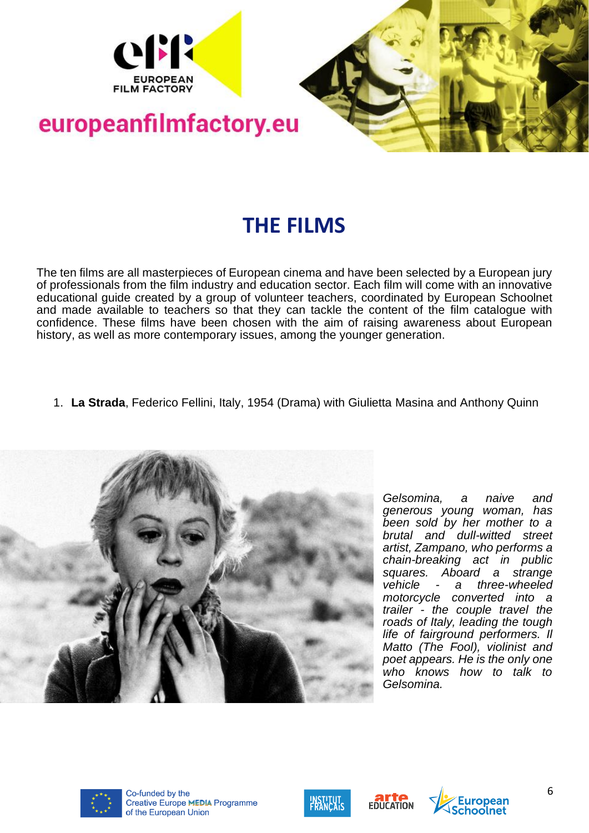



#### **THE FILMS**

The ten films are all masterpieces of European cinema and have been selected by a European jury of professionals from the film industry and education sector. Each film will come with an innovative educational guide created by a group of volunteer teachers, coordinated by European Schoolnet and made available to teachers so that they can tackle the content of the film catalogue with confidence. These films have been chosen with the aim of raising awareness about European history, as well as more contemporary issues, among the younger generation.

1. **La Strada**, Federico Fellini, Italy, 1954 (Drama) with Giulietta Masina and Anthony Quinn



*Gelsomina, a naive and generous young woman, has been sold by her mother to a brutal and dull-witted street artist, Zampano, who performs a chain-breaking act in public squares. Aboard a strange vehicle - a three-wheeled motorcycle converted into a trailer - the couple travel the roads of Italy, leading the tough life of fairground performers. Il Matto (The Fool), violinist and poet appears. He is the only one who knows how to talk to Gelsomina.*









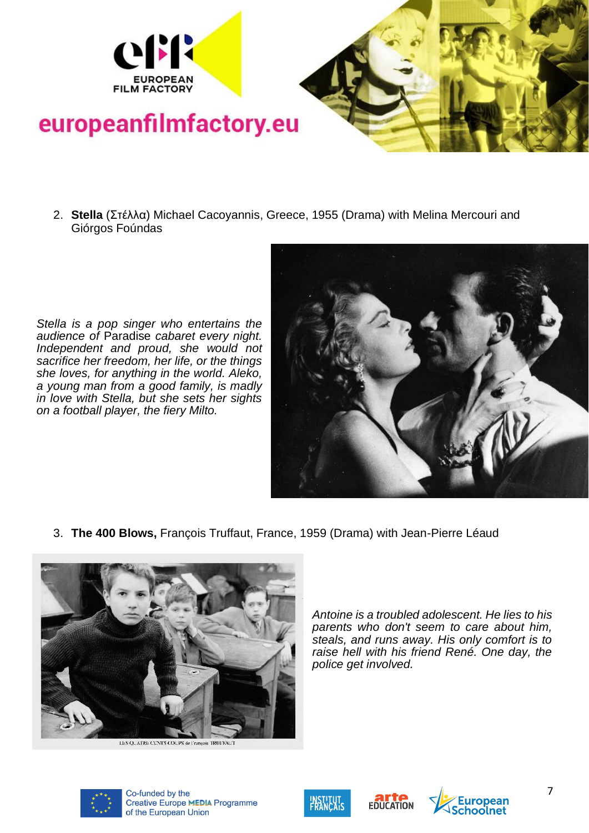



- europeanfilmfactory.eu
	- 2. **Stella** (Στέλλα) Michael Cacoyannis, Greece, 1955 (Drama) with Melina Mercouri and Giórgos Foúndas

*Stella is a pop singer who entertains the audience of* Paradise *cabaret every night. Independent and proud, she would not sacrifice her freedom, her life, or the things she loves, for anything in the world. Aleko, a young man from a good family, is madly in love with Stella, but she sets her sights on a football player, the fiery Milto.*



3. **The 400 Blows,** François Truffaut, France, 1959 (Drama) with Jean-Pierre Léaud



LES OUATRE CENTS COUPS de Francois TRUIT

*Antoine is a troubled adolescent. He lies to his parents who don't seem to care about him, steals, and runs away. His only comfort is to raise hell with his friend René. One day, the police get involved.*







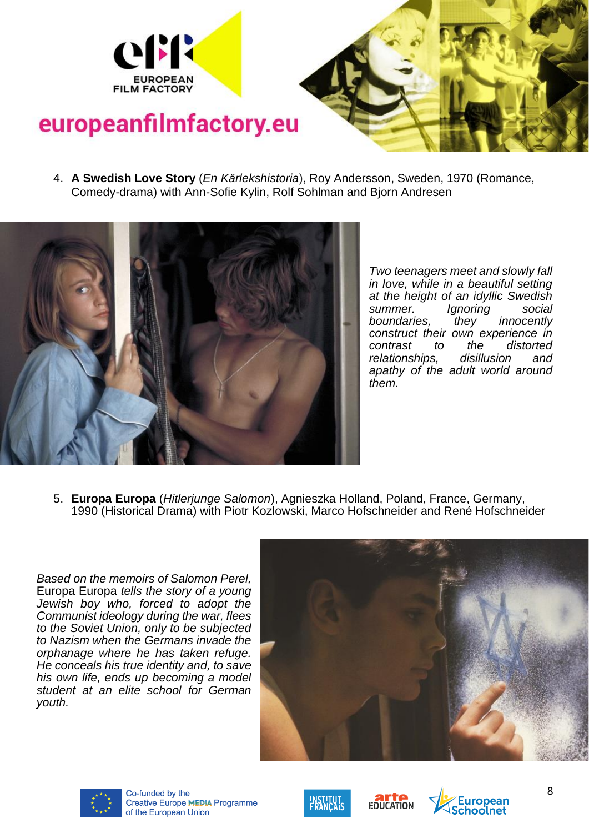



- 
- 4. **A Swedish Love Story** (*En Kärlekshistoria*), Roy Andersson, Sweden, 1970 (Romance, Comedy-drama) with Ann-Sofie Kylin, Rolf Sohlman and Bjorn Andresen



*Two teenagers meet and slowly fall in love, while in a beautiful setting at the height of an idyllic Swedish summer. Ignoring social boundaries, they innocently construct their own experience in contrast to the distorted relationships, disillusion and apathy of the adult world around them.* 

5. **Europa Europa** (*Hitlerjunge Salomon*), Agnieszka Holland, Poland, France, Germany, 1990 (Historical Drama) with Piotr Kozlowski, Marco Hofschneider and René Hofschneider

*Based on the memoirs of Salomon Perel,*  Europa Europa *tells the story of a young Jewish boy who, forced to adopt the Communist ideology during the war, flees to the Soviet Union, only to be subjected to Nazism when the Germans invade the orphanage where he has taken refuge. He conceals his true identity and, to save his own life, ends up becoming a model student at an elite school for German youth.*









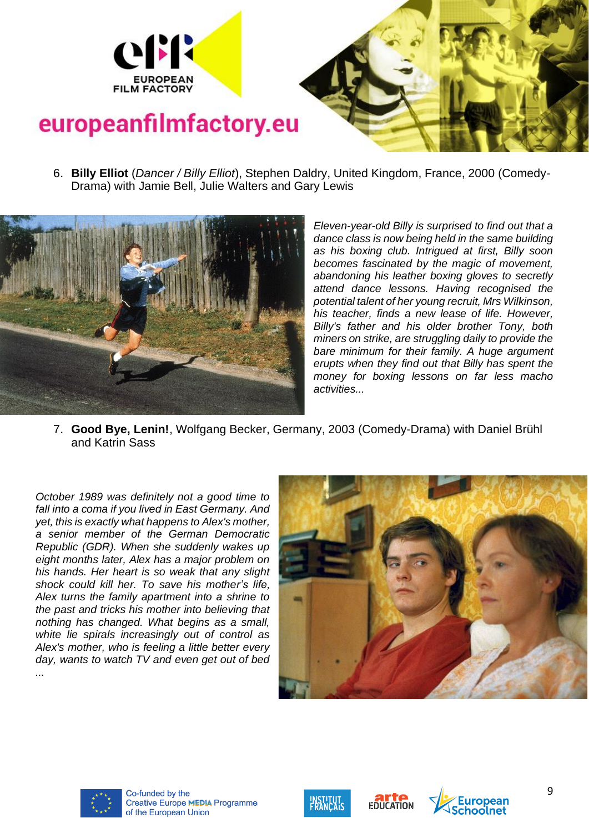

- 
- 6. **Billy Elliot** (*Dancer / Billy Elliot*), Stephen Daldry, United Kingdom, France, 2000 (Comedy-Drama) with Jamie Bell, Julie Walters and Gary Lewis



*Eleven-year-old Billy is surprised to find out that a dance class is now being held in the same building as his boxing club. Intrigued at first, Billy soon becomes fascinated by the magic of movement, abandoning his leather boxing gloves to secretly attend dance lessons. Having recognised the potential talent of her young recruit, Mrs Wilkinson, his teacher, finds a new lease of life. However, Billy's father and his older brother Tony, both miners on strike, are struggling daily to provide the bare minimum for their family. A huge argument erupts when they find out that Billy has spent the money for boxing lessons on far less macho activities...*

7. **Good Bye, Lenin!**, Wolfgang Becker, Germany, 2003 (Comedy-Drama) with Daniel Brühl and [Katrin Sass](https://fr.wikipedia.org/wiki/Katrin_Sass)

*October 1989 was definitely not a good time to fall into a coma if you lived in East Germany. And yet, this is exactly what happens to Alex's mother, a senior member of the German Democratic Republic (GDR). When she suddenly wakes up eight months later, Alex has a major problem on his hands. Her heart is so weak that any slight shock could kill her. To save his mother's life, Alex turns the family apartment into a shrine to the past and tricks his mother into believing that nothing has changed. What begins as a small, white lie spirals increasingly out of control as Alex's mother, who is feeling a little better every day, wants to watch TV and even get out of bed ...*









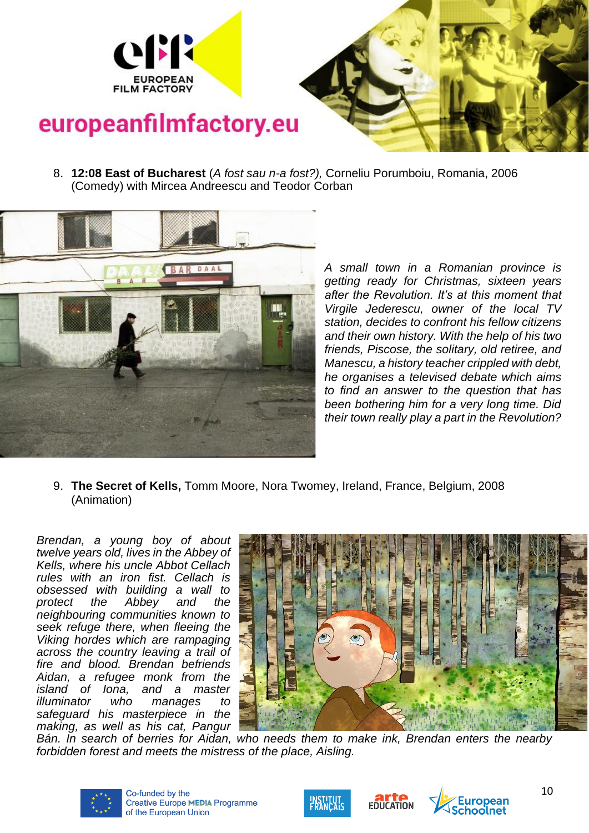

- 
- 8. **12:08 East of Bucharest** (*A fost sau n-a fost?),* Corneliu Porumboiu, Romania, 2006 (Comedy) with Mircea Andreescu and Teodor Corban



*A small town in a Romanian province is getting ready for Christmas, sixteen years after the Revolution. It's at this moment that Virgile Jederescu, owner of the local TV station, decides to confront his fellow citizens and their own history. With the help of his two friends, Piscose, the solitary, old retiree, and Manescu, a history teacher crippled with debt, he organises a televised debate which aims to find an answer to the question that has been bothering him for a very long time. Did their town really play a part in the Revolution?*

9. **The Secret of Kells,** Tomm Moore, Nora Twomey, Ireland, France, Belgium, 2008 (Animation)

*Brendan, a young boy of about twelve years old, lives in the Abbey of Kells, where his uncle Abbot Cellach rules with an iron fist. Cellach is obsessed with building a wall to protect the Abbey and the neighbouring communities known to seek refuge there, when fleeing the Viking hordes which are rampaging across the country leaving a trail of fire and blood. Brendan befriends Aidan, a refugee monk from the island of Iona, and a master illuminator who manages to safeguard his masterpiece in the making, as well as his cat, Pangur* 



*Bán. In search of berries for Aidan, who needs them to make ink, Brendan enters the nearby forbidden forest and meets the mistress of the place, Aisling.*







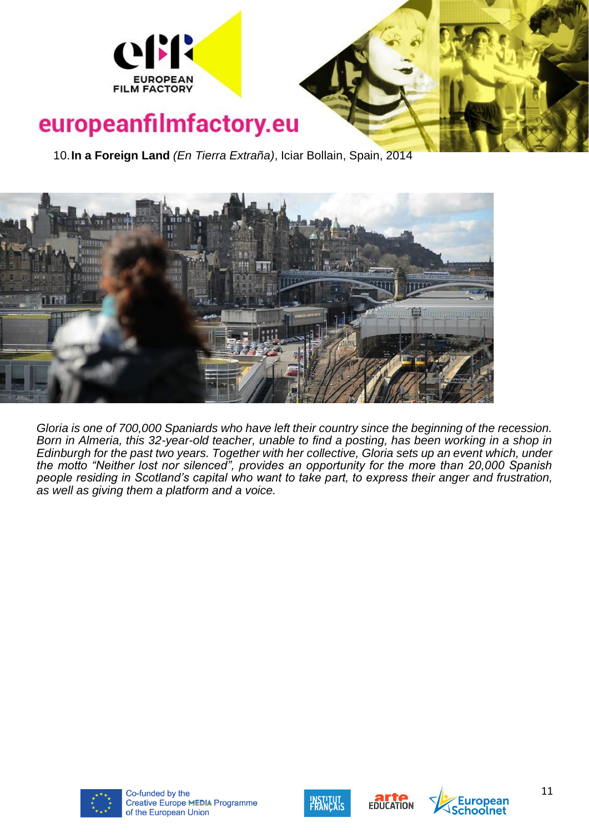

10.**In a Foreign Land** *(En Tierra Extraña)*, Iciar Bollain, Spain, 2014



*Gloria is one of 700,000 Spaniards who have left their country since the beginning of the recession. Born in Almeria, this 32-year-old teacher, unable to find a posting, has been working in a shop in Edinburgh for the past two years. Together with her collective, Gloria sets up an event which, under the motto "Neither lost nor silenced", provides an opportunity for the more than 20,000 Spanish people residing in Scotland's capital who want to take part, to express their anger and frustration, as well as giving them a platform and a voice.*









**ropean**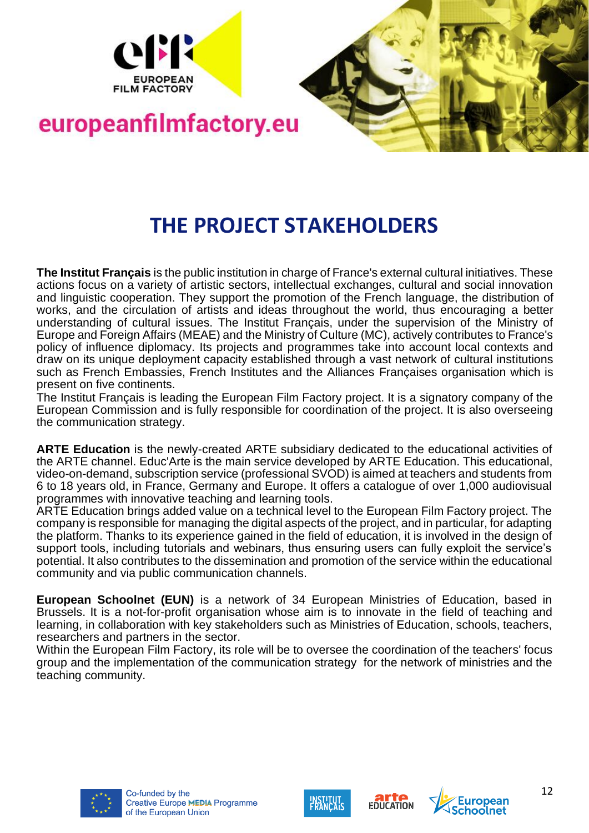



#### **THE PROJECT STAKEHOLDERS**

**The Institut Français** is the public institution in charge of France's external cultural initiatives. These actions focus on a variety of artistic sectors, intellectual exchanges, cultural and social innovation and linguistic cooperation. They support the promotion of the French language, the distribution of works, and the circulation of artists and ideas throughout the world, thus encouraging a better understanding of cultural issues. The Institut Français, under the supervision of the Ministry of Europe and Foreign Affairs (MEAE) and the Ministry of Culture (MC), actively contributes to France's policy of influence diplomacy. Its projects and programmes take into account local contexts and draw on its unique deployment capacity established through a vast network of cultural institutions such as French Embassies, French Institutes and the Alliances Françaises organisation which is present on five continents.

The Institut Français is leading the European Film Factory project. It is a signatory company of the European Commission and is fully responsible for coordination of the project. It is also overseeing the communication strategy.

**ARTE Education** is the newly-created ARTE subsidiary dedicated to the educational activities of the ARTE channel. Educ'Arte is the main service developed by ARTE Education. This educational, video-on-demand, subscription service (professional SVOD) is aimed at teachers and students from 6 to 18 years old, in France, Germany and Europe. It offers a catalogue of over 1,000 audiovisual programmes with innovative teaching and learning tools.

ARTE Education brings added value on a technical level to the European Film Factory project. The company is responsible for managing the digital aspects of the project, and in particular, for adapting the platform. Thanks to its experience gained in the field of education, it is involved in the design of support tools, including tutorials and webinars, thus ensuring users can fully exploit the service's potential. It also contributes to the dissemination and promotion of the service within the educational community and via public communication channels.

**European Schoolnet (EUN)** is a network of 34 European Ministries of Education, based in Brussels. It is a not-for-profit organisation whose aim is to innovate in the field of teaching and learning, in collaboration with key stakeholders such as Ministries of Education, schools, teachers, researchers and partners in the sector.

Within the European Film Factory, its role will be to oversee the coordination of the teachers' focus group and the implementation of the communication strategy for the network of ministries and the teaching community.